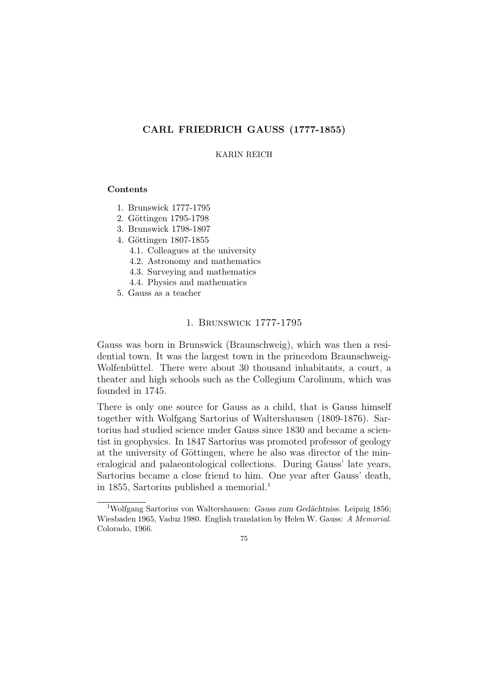# CARL FRIEDRICH GAUSS (1777-1855)

## KARIN REICH

### Contents

- 1. Brunswick 1777-1795
- 2. Göttingen 1795-1798
- 3. Brunswick 1798-1807
- 4. Göttingen 1807-1855
	- 4.1. Colleagues at the university
	- 4.2. Astronomy and mathematics
	- 4.3. Surveying and mathematics
	- 4.4. Physics and mathematics
- 5. Gauss as a teacher

## 1. Brunswick 1777-1795

Gauss was born in Brunswick (Braunschweig), which was then a residential town. It was the largest town in the princedom Braunschweig-Wolfenbüttel. There were about 30 thousand inhabitants, a court, a theater and high schools such as the Collegium Carolinum, which was founded in 1745.

There is only one source for Gauss as a child, that is Gauss himself together with Wolfgang Sartorius of Waltershausen (1809-1876). Sartorius had studied science under Gauss since 1830 and became a scientist in geophysics. In 1847 Sartorius was promoted professor of geology at the university of Göttingen, where he also was director of the mineralogical and palaeontological collections. During Gauss' late years, Sartorius became a close friend to him. One year after Gauss' death, in 1855, Sartorius published a memorial.<sup>1</sup>

 $1$ Wolfgang Sartorius von Waltershausen: Gauss zum Gedächtniss. Leipzig 1856; Wiesbaden 1965, Vaduz 1980. English translation by Helen W. Gauss: A Memorial. Colorado, 1966.

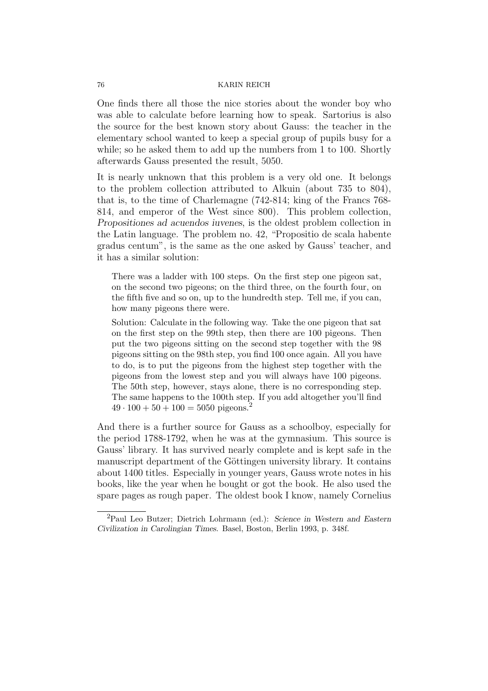One finds there all those the nice stories about the wonder boy who was able to calculate before learning how to speak. Sartorius is also the source for the best known story about Gauss: the teacher in the elementary school wanted to keep a special group of pupils busy for a while; so he asked them to add up the numbers from 1 to 100. Shortly afterwards Gauss presented the result, 5050.

It is nearly unknown that this problem is a very old one. It belongs to the problem collection attributed to Alkuin (about 735 to 804), that is, to the time of Charlemagne (742-814; king of the Francs 768- 814, and emperor of the West since 800). This problem collection, Propositiones ad acuendos iuvenes, is the oldest problem collection in the Latin language. The problem no. 42, "Propositio de scala habente gradus centum", is the same as the one asked by Gauss' teacher, and it has a similar solution:

There was a ladder with 100 steps. On the first step one pigeon sat, on the second two pigeons; on the third three, on the fourth four, on the fifth five and so on, up to the hundredth step. Tell me, if you can, how many pigeons there were.

Solution: Calculate in the following way. Take the one pigeon that sat on the first step on the 99th step, then there are 100 pigeons. Then put the two pigeons sitting on the second step together with the 98 pigeons sitting on the 98th step, you find 100 once again. All you have to do, is to put the pigeons from the highest step together with the pigeons from the lowest step and you will always have 100 pigeons. The 50th step, however, stays alone, there is no corresponding step. The same happens to the 100th step. If you add altogether you'll find  $49 \cdot 100 + 50 + 100 = 5050$  pigeons.<sup>2</sup>

And there is a further source for Gauss as a schoolboy, especially for the period 1788-1792, when he was at the gymnasium. This source is Gauss' library. It has survived nearly complete and is kept safe in the manuscript department of the Göttingen university library. It contains about 1400 titles. Especially in younger years, Gauss wrote notes in his books, like the year when he bought or got the book. He also used the spare pages as rough paper. The oldest book I know, namely Cornelius

<sup>2</sup>Paul Leo Butzer; Dietrich Lohrmann (ed.): Science in Western and Eastern Civilization in Carolingian Times. Basel, Boston, Berlin 1993, p. 348f.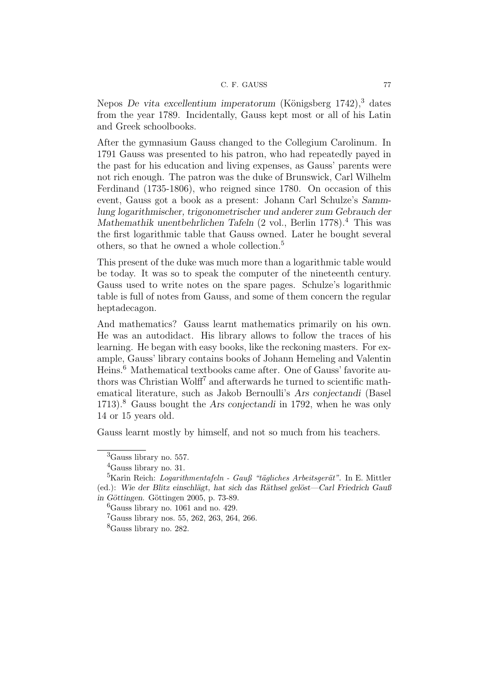Nepos De vita excellentium imperatorum (Königsberg  $1742$ ),<sup>3</sup> dates from the year 1789. Incidentally, Gauss kept most or all of his Latin and Greek schoolbooks.

After the gymnasium Gauss changed to the Collegium Carolinum. In 1791 Gauss was presented to his patron, who had repeatedly payed in the past for his education and living expenses, as Gauss' parents were not rich enough. The patron was the duke of Brunswick, Carl Wilhelm Ferdinand (1735-1806), who reigned since 1780. On occasion of this event, Gauss got a book as a present: Johann Carl Schulze's Sammlung logarithmischer, trigonometrischer und anderer zum Gebrauch der Mathemathik unentbehrlichen Tafeln (2 vol., Berlin 1778).<sup>4</sup> This was the first logarithmic table that Gauss owned. Later he bought several others, so that he owned a whole collection.<sup>5</sup>

This present of the duke was much more than a logarithmic table would be today. It was so to speak the computer of the nineteenth century. Gauss used to write notes on the spare pages. Schulze's logarithmic table is full of notes from Gauss, and some of them concern the regular heptadecagon.

And mathematics? Gauss learnt mathematics primarily on his own. He was an autodidact. His library allows to follow the traces of his learning. He began with easy books, like the reckoning masters. For example, Gauss' library contains books of Johann Hemeling and Valentin Heins.<sup>6</sup> Mathematical textbooks came after. One of Gauss' favorite authors was Christian Wolff<sup>7</sup> and afterwards he turned to scientific mathematical literature, such as Jakob Bernoulli's Ars conjectandi (Basel 1713).<sup>8</sup> Gauss bought the Ars conjectandi in 1792, when he was only 14 or 15 years old.

Gauss learnt mostly by himself, and not so much from his teachers.

<sup>3</sup>Gauss library no. 557.

<sup>4</sup>Gauss library no. 31.

 ${}^{5}$ Karin Reich: *Logarithmentafeln - Gauß* "tägliches Arbeitsgerät". In E. Mittler (ed.): Wie der Blitz einschlägt, hat sich das Räthsel gelöst—Carl Friedrich Gauß in Göttingen. Göttingen 2005, p. 73-89.

 ${}^{6}$ Gauss library no. 1061 and no. 429.

<sup>7</sup>Gauss library nos. 55, 262, 263, 264, 266.

<sup>8</sup>Gauss library no. 282.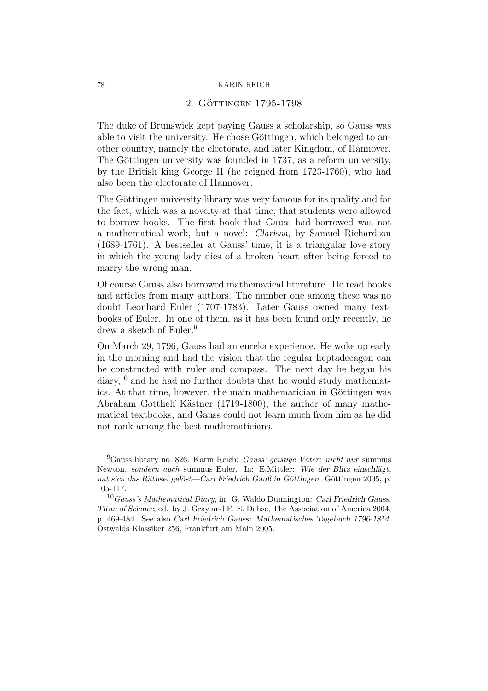# 2. GÖTTINGEN 1795-1798

The duke of Brunswick kept paying Gauss a scholarship, so Gauss was able to visit the university. He chose Göttingen, which belonged to another country, namely the electorate, and later Kingdom, of Hannover. The Göttingen university was founded in 1737, as a reform university, by the British king George II (he reigned from 1723-1760), who had also been the electorate of Hannover.

The Göttingen university library was very famous for its quality and for the fact, which was a novelty at that time, that students were allowed to borrow books. The first book that Gauss had borrowed was not a mathematical work, but a novel: Clarissa, by Samuel Richardson (1689-1761). A bestseller at Gauss' time, it is a triangular love story in which the young lady dies of a broken heart after being forced to marry the wrong man.

Of course Gauss also borrowed mathematical literature. He read books and articles from many authors. The number one among these was no doubt Leonhard Euler (1707-1783). Later Gauss owned many textbooks of Euler. In one of them, as it has been found only recently, he drew a sketch of Euler.<sup>9</sup>

On March 29, 1796, Gauss had an eureka experience. He woke up early in the morning and had the vision that the regular heptadecagon can be constructed with ruler and compass. The next day he began his  $diary<sup>10</sup>$  and he had no further doubts that he would study mathematics. At that time, however, the main mathematician in Göttingen was Abraham Gotthelf Kästner (1719-1800), the author of many mathematical textbooks, and Gauss could not learn much from him as he did not rank among the best mathematicians.

 $^{9}$ Gauss library no. 826. Karin Reich: *Gauss' geistige Väter: nicht nur* summus Newton, sondern auch summus Euler. In: E.Mittler: Wie der Blitz einschlägt, hat sich das Räthsel gelöst—Carl Friedrich Gauß in Göttingen. Göttingen 2005, p. 105-117.

 $10$  Gauss's Mathematical Diary, in: G. Waldo Dunnington: Carl Friedrich Gauss. Titan of Science, ed. by J. Gray and F. E. Dohse, The Association of America 2004, p. 469-484. See also Carl Friedrich Gauss: Mathematisches Tagebuch 1796-1814. Ostwalds Klassiker 256, Frankfurt am Main 2005.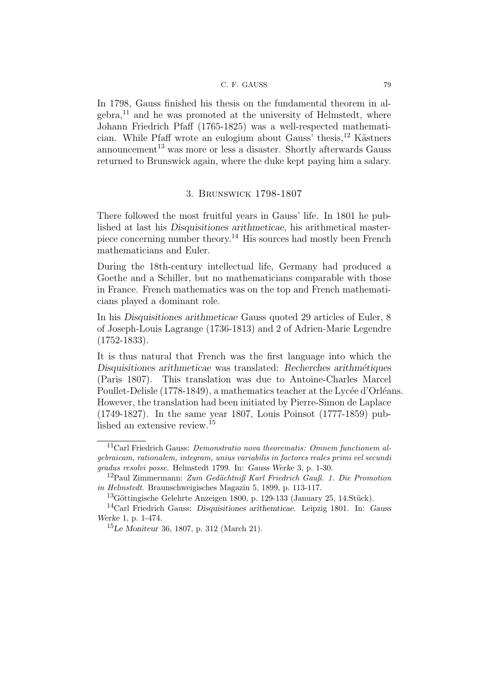In 1798, Gauss finished his thesis on the fundamental theorem in al $gebra<sup>11</sup>$  and he was promoted at the university of Helmstedt, where Johann Friedrich Pfaff (1765-1825) was a well-respected mathematician. While Pfaff wrote an eulogium about Gauss' thesis,  $12$  Kästners announcement<sup>13</sup> was more or less a disaster. Shortly afterwards Gauss returned to Brunswick again, where the duke kept paying him a salary.

# 3. Brunswick 1798-1807

There followed the most fruitful years in Gauss' life. In 1801 he published at last his Disquisitiones arithmeticae, his arithmetical masterpiece concerning number theory.<sup>14</sup> His sources had mostly been French mathematicians and Euler.

During the 18th-century intellectual life, Germany had produced a Goethe and a Schiller, but no mathematicians comparable with those in France. French mathematics was on the top and French mathematicians played a dominant role.

In his Disquisitiones arithmeticae Gauss quoted 29 articles of Euler, 8 of Joseph-Louis Lagrange (1736-1813) and 2 of Adrien-Marie Legendre (1752-1833).

It is thus natural that French was the first language into which the Disquisitiones arithmeticae was translated: Recherches arithmétiques (Paris 1807). This translation was due to Antoine-Charles Marcel Poullet-Delisle (1778-1849), a mathematics teacher at the Lycée d'Orléans. However, the translation had been initiated by Pierre-Simon de Laplace (1749-1827). In the same year 1807, Louis Poinsot (1777-1859) published an extensive review.<sup>15</sup>

 $11$ Carl Friedrich Gauss: *Demonstratio nova theorematis: Omnem functionem al*gebraicam, rationalem, integram, unius variabilis in factores reales primi vel secundi gradus resolvi posse. Helmstedt 1799. In: Gauss Werke 3, p. 1-30.

<sup>&</sup>lt;sup>12</sup>Paul Zimmermann: Zum Gedächtniß Karl Friedrich Gauß. 1. Die Promotion in Helmstedt. Braunschweigisches Magazin 5, 1899, p. 113-117.

 $13$ Göttingische Gelehrte Anzeigen 1800, p. 129-133 (January 25, 14.Stück).

<sup>14</sup>Carl Friedrich Gauss: Disquisitiones arithemticae. Leipzig 1801. In: Gauss Werke 1, p. 1-474.

<sup>15</sup>Le Moniteur 36, 1807, p. 312 (March 21).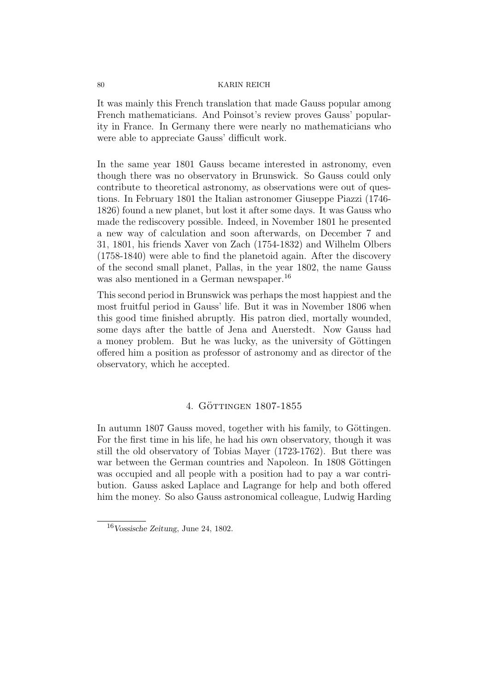It was mainly this French translation that made Gauss popular among French mathematicians. And Poinsot's review proves Gauss' popularity in France. In Germany there were nearly no mathematicians who were able to appreciate Gauss' difficult work.

In the same year 1801 Gauss became interested in astronomy, even though there was no observatory in Brunswick. So Gauss could only contribute to theoretical astronomy, as observations were out of questions. In February 1801 the Italian astronomer Giuseppe Piazzi (1746- 1826) found a new planet, but lost it after some days. It was Gauss who made the rediscovery possible. Indeed, in November 1801 he presented a new way of calculation and soon afterwards, on December 7 and 31, 1801, his friends Xaver von Zach (1754-1832) and Wilhelm Olbers (1758-1840) were able to find the planetoid again. After the discovery of the second small planet, Pallas, in the year 1802, the name Gauss was also mentioned in a German newspaper.<sup>16</sup>

This second period in Brunswick was perhaps the most happiest and the most fruitful period in Gauss' life. But it was in November 1806 when this good time finished abruptly. His patron died, mortally wounded, some days after the battle of Jena and Auerstedt. Now Gauss had a money problem. But he was lucky, as the university of Göttingen offered him a position as professor of astronomy and as director of the observatory, which he accepted.

# 4. GÖTTINGEN 1807-1855

In autumn 1807 Gauss moved, together with his family, to Göttingen. For the first time in his life, he had his own observatory, though it was still the old observatory of Tobias Mayer (1723-1762). But there was war between the German countries and Napoleon. In 1808 Göttingen was occupied and all people with a position had to pay a war contribution. Gauss asked Laplace and Lagrange for help and both offered him the money. So also Gauss astronomical colleague, Ludwig Harding

<sup>16</sup>Vossische Zeitung, June 24, 1802.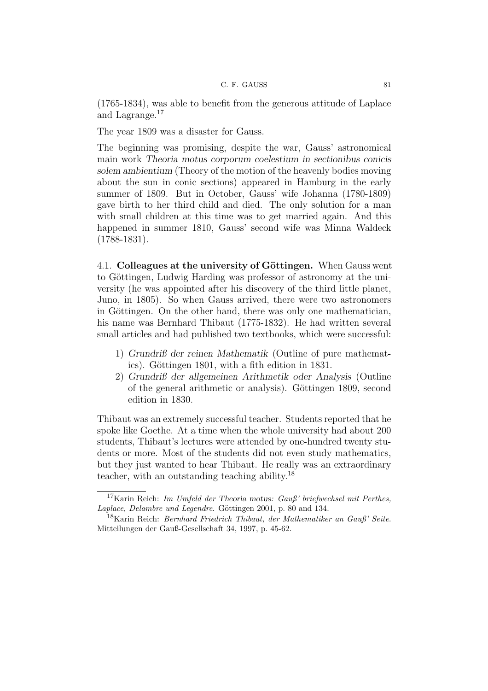(1765-1834), was able to benefit from the generous attitude of Laplace and Lagrange.<sup>17</sup>

The year 1809 was a disaster for Gauss.

The beginning was promising, despite the war, Gauss' astronomical main work Theoria motus corporum coelestium in sectionibus conicis solem ambientium (Theory of the motion of the heavenly bodies moving about the sun in conic sections) appeared in Hamburg in the early summer of 1809. But in October, Gauss' wife Johanna (1780-1809) gave birth to her third child and died. The only solution for a man with small children at this time was to get married again. And this happened in summer 1810, Gauss' second wife was Minna Waldeck (1788-1831).

4.1. Colleagues at the university of Göttingen. When Gauss went to Göttingen, Ludwig Harding was professor of astronomy at the university (he was appointed after his discovery of the third little planet, Juno, in 1805). So when Gauss arrived, there were two astronomers in Göttingen. On the other hand, there was only one mathematician, his name was Bernhard Thibaut (1775-1832). He had written several small articles and had published two textbooks, which were successful:

- 1) Grundriß der reinen Mathematik (Outline of pure mathematics). Göttingen 1801, with a fith edition in 1831.
- 2) Grundriß der allgemeinen Arithmetik oder Analysis (Outline of the general arithmetic or analysis). Göttingen 1809, second edition in 1830.

Thibaut was an extremely successful teacher. Students reported that he spoke like Goethe. At a time when the whole university had about 200 students, Thibaut's lectures were attended by one-hundred twenty students or more. Most of the students did not even study mathematics, but they just wanted to hear Thibaut. He really was an extraordinary teacher, with an outstanding teaching ability.<sup>18</sup>

<sup>&</sup>lt;sup>17</sup>Karin Reich: *Im Umfeld der Theoria motus: Gauß' briefwechsel mit Perthes*, Laplace, Delambre und Legendre. Göttingen 2001, p. 80 and 134.

 $18$ Karin Reich: *Bernhard Friedrich Thibaut, der Mathematiker an Gauß' Seite.* Mitteilungen der Gauß-Gesellschaft 34, 1997, p. 45-62.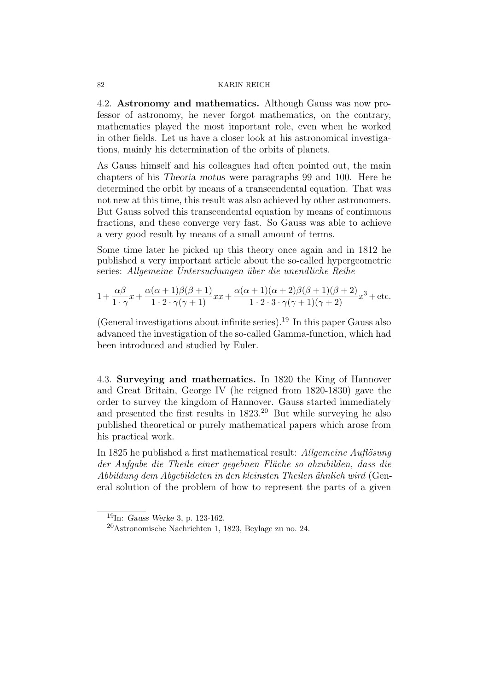4.2. Astronomy and mathematics. Although Gauss was now professor of astronomy, he never forgot mathematics, on the contrary, mathematics played the most important role, even when he worked in other fields. Let us have a closer look at his astronomical investigations, mainly his determination of the orbits of planets.

As Gauss himself and his colleagues had often pointed out, the main chapters of his Theoria motus were paragraphs 99 and 100. Here he determined the orbit by means of a transcendental equation. That was not new at this time, this result was also achieved by other astronomers. But Gauss solved this transcendental equation by means of continuous fractions, and these converge very fast. So Gauss was able to achieve a very good result by means of a small amount of terms.

Some time later he picked up this theory once again and in 1812 he published a very important article about the so-called hypergeometric series: Allgemeine Untersuchungen über die unendliche Reihe

$$
1 + \frac{\alpha\beta}{1\cdot\gamma}x + \frac{\alpha(\alpha+1)\beta(\beta+1)}{1\cdot 2\cdot\gamma(\gamma+1)}xx + \frac{\alpha(\alpha+1)(\alpha+2)\beta(\beta+1)(\beta+2)}{1\cdot 2\cdot 3\cdot\gamma(\gamma+1)(\gamma+2)}x^3 + \text{etc.}
$$

(General investigations about infinite series).<sup>19</sup> In this paper Gauss also advanced the investigation of the so-called Gamma-function, which had been introduced and studied by Euler.

4.3. Surveying and mathematics. In 1820 the King of Hannover and Great Britain, George IV (he reigned from 1820-1830) gave the order to survey the kingdom of Hannover. Gauss started immediately and presented the first results in  $1823$ <sup>20</sup> But while surveying he also published theoretical or purely mathematical papers which arose from his practical work.

In 1825 he published a first mathematical result: Allgemeine Auflösung der Aufgabe die Theile einer gegebnen Fläche so abzubilden, dass die Abbildung dem Abgebildeten in den kleinsten Theilen ¨ahnlich wird (General solution of the problem of how to represent the parts of a given

 $19$ In: Gauss Werke 3, p. 123-162.

<sup>20</sup>Astronomische Nachrichten 1, 1823, Beylage zu no. 24.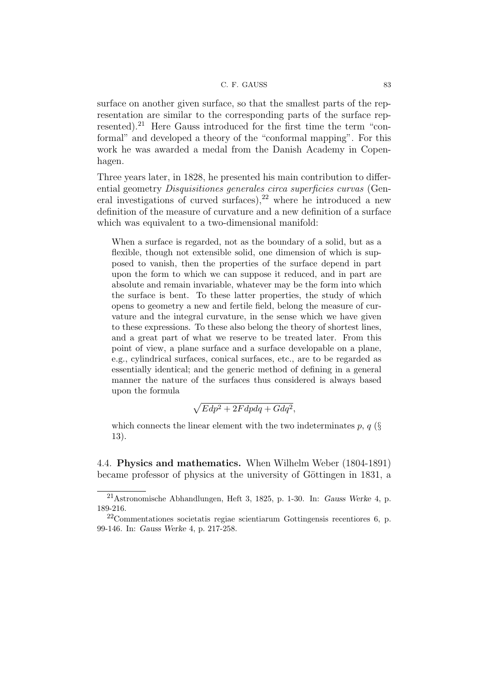surface on another given surface, so that the smallest parts of the representation are similar to the corresponding parts of the surface represented).<sup>21</sup> Here Gauss introduced for the first time the term "conformal" and developed a theory of the "conformal mapping". For this work he was awarded a medal from the Danish Academy in Copenhagen.

Three years later, in 1828, he presented his main contribution to differential geometry Disquisitiones generales circa superficies curvas (General investigations of curved surfaces),  $2^2$  where he introduced a new definition of the measure of curvature and a new definition of a surface which was equivalent to a two-dimensional manifold:

When a surface is regarded, not as the boundary of a solid, but as a flexible, though not extensible solid, one dimension of which is supposed to vanish, then the properties of the surface depend in part upon the form to which we can suppose it reduced, and in part are absolute and remain invariable, whatever may be the form into which the surface is bent. To these latter properties, the study of which opens to geometry a new and fertile field, belong the measure of curvature and the integral curvature, in the sense which we have given to these expressions. To these also belong the theory of shortest lines, and a great part of what we reserve to be treated later. From this point of view, a plane surface and a surface developable on a plane, e.g., cylindrical surfaces, conical surfaces, etc., are to be regarded as essentially identical; and the generic method of defining in a general manner the nature of the surfaces thus considered is always based upon the formula

$$
\sqrt{Edp^2 + 2Fdpdq + Gdq^2},
$$

which connects the linear element with the two indeterminates p,  $q$  (§ 13).

4.4. Physics and mathematics. When Wilhelm Weber (1804-1891) became professor of physics at the university of Göttingen in 1831, a

 $21$ Astronomische Abhandlungen, Heft 3, 1825, p. 1-30. In: Gauss Werke 4, p. 189-216.

<sup>22</sup>Commentationes societatis regiae scientiarum Gottingensis recentiores 6, p. 99-146. In: Gauss Werke 4, p. 217-258.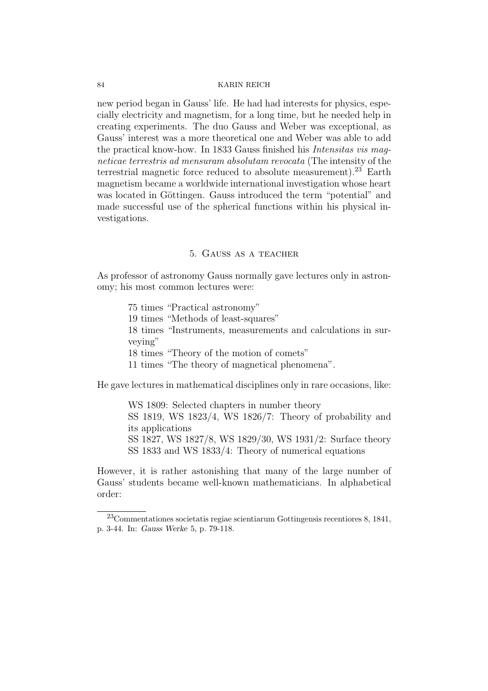new period began in Gauss' life. He had had interests for physics, especially electricity and magnetism, for a long time, but he needed help in creating experiments. The duo Gauss and Weber was exceptional, as Gauss' interest was a more theoretical one and Weber was able to add the practical know-how. In 1833 Gauss finished his Intensitas vis magneticae terrestris ad mensuram absolutam revocata (The intensity of the terrestrial magnetic force reduced to absolute measurement).<sup>23</sup> Earth magnetism became a worldwide international investigation whose heart was located in Göttingen. Gauss introduced the term "potential" and made successful use of the spherical functions within his physical investigations.

## 5. Gauss as a teacher

As professor of astronomy Gauss normally gave lectures only in astronomy; his most common lectures were:

> 75 times "Practical astronomy" 19 times "Methods of least-squares" 18 times "Instruments, measurements and calculations in surveying" 18 times "Theory of the motion of comets" 11 times "The theory of magnetical phenomena".

He gave lectures in mathematical disciplines only in rare occasions, like:

WS 1809: Selected chapters in number theory SS 1819, WS 1823/4, WS 1826/7: Theory of probability and its applications SS 1827, WS 1827/8, WS 1829/30, WS 1931/2: Surface theory SS 1833 and WS 1833/4: Theory of numerical equations

However, it is rather astonishing that many of the large number of Gauss' students became well-known mathematicians. In alphabetical order:

<sup>23</sup>Commentationes societatis regiae scientiarum Gottingensis recentiores 8, 1841, p. 3-44. In: Gauss Werke 5, p. 79-118.